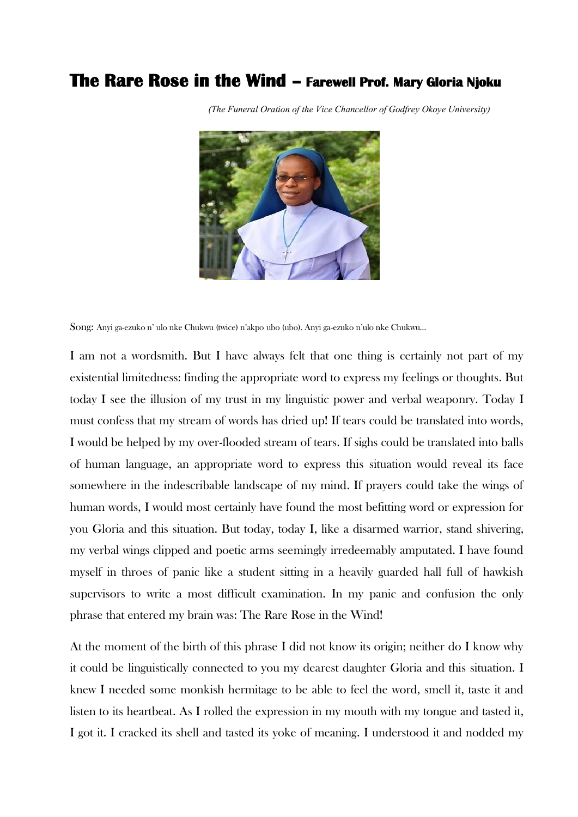## **The Rare Rose in the Wind – Farewell Prof. Mary Gloria Njoku**



*(The Funeral Oration of the Vice Chancellor of Godfrey Okoye University)*

Song: Anyi ga-ezuko n' ulo nke Chukwu (twice) n'akpo ubo (ubo). Anyi ga-ezuko n'ulo nke Chukwu…

I am not a wordsmith. But I have always felt that one thing is certainly not part of my existential limitedness: finding the appropriate word to express my feelings or thoughts. But today I see the illusion of my trust in my linguistic power and verbal weaponry. Today I must confess that my stream of words has dried up! If tears could be translated into words, I would be helped by my over-flooded stream of tears. If sighs could be translated into balls of human language, an appropriate word to express this situation would reveal its face somewhere in the indescribable landscape of my mind. If prayers could take the wings of human words, I would most certainly have found the most befitting word or expression for you Gloria and this situation. But today, today I, like a disarmed warrior, stand shivering, my verbal wings clipped and poetic arms seemingly irredeemably amputated. I have found myself in throes of panic like a student sitting in a heavily guarded hall full of hawkish supervisors to write a most difficult examination. In my panic and confusion the only phrase that entered my brain was: The Rare Rose in the Wind!

At the moment of the birth of this phrase I did not know its origin; neither do I know why it could be linguistically connected to you my dearest daughter Gloria and this situation. I knew I needed some monkish hermitage to be able to feel the word, smell it, taste it and listen to its heartbeat. As I rolled the expression in my mouth with my tongue and tasted it, I got it. I cracked its shell and tasted its yoke of meaning. I understood it and nodded my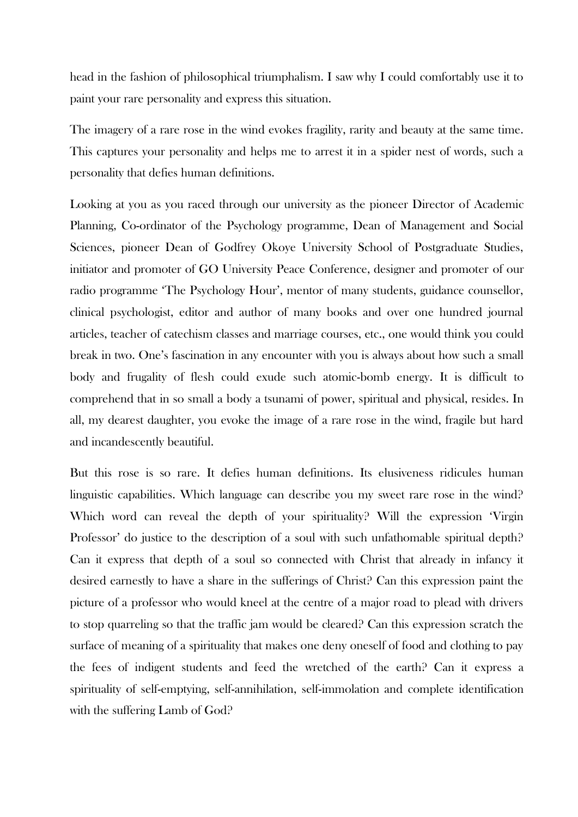head in the fashion of philosophical triumphalism. I saw why I could comfortably use it to paint your rare personality and express this situation.

The imagery of a rare rose in the wind evokes fragility, rarity and beauty at the same time. This captures your personality and helps me to arrest it in a spider nest of words, such a personality that defies human definitions.

Looking at you as you raced through our university as the pioneer Director of Academic Planning, Co-ordinator of the Psychology programme, Dean of Management and Social Sciences, pioneer Dean of Godfrey Okoye University School of Postgraduate Studies, initiator and promoter of GO University Peace Conference, designer and promoter of our radio programme 'The Psychology Hour', mentor of many students, guidance counsellor, clinical psychologist, editor and author of many books and over one hundred journal articles, teacher of catechism classes and marriage courses, etc., one would think you could break in two. One's fascination in any encounter with you is always about how such a small body and frugality of flesh could exude such atomic-bomb energy. It is difficult to comprehend that in so small a body a tsunami of power, spiritual and physical, resides. In all, my dearest daughter, you evoke the image of a rare rose in the wind, fragile but hard and incandescently beautiful.

But this rose is so rare. It defies human definitions. Its elusiveness ridicules human linguistic capabilities. Which language can describe you my sweet rare rose in the wind? Which word can reveal the depth of your spirituality? Will the expression 'Virgin Professor' do justice to the description of a soul with such unfathomable spiritual depth? Can it express that depth of a soul so connected with Christ that already in infancy it desired earnestly to have a share in the sufferings of Christ? Can this expression paint the picture of a professor who would kneel at the centre of a major road to plead with drivers to stop quarreling so that the traffic jam would be cleared? Can this expression scratch the surface of meaning of a spirituality that makes one deny oneself of food and clothing to pay the fees of indigent students and feed the wretched of the earth? Can it express a spirituality of self-emptying, self-annihilation, self-immolation and complete identification with the suffering Lamb of God?